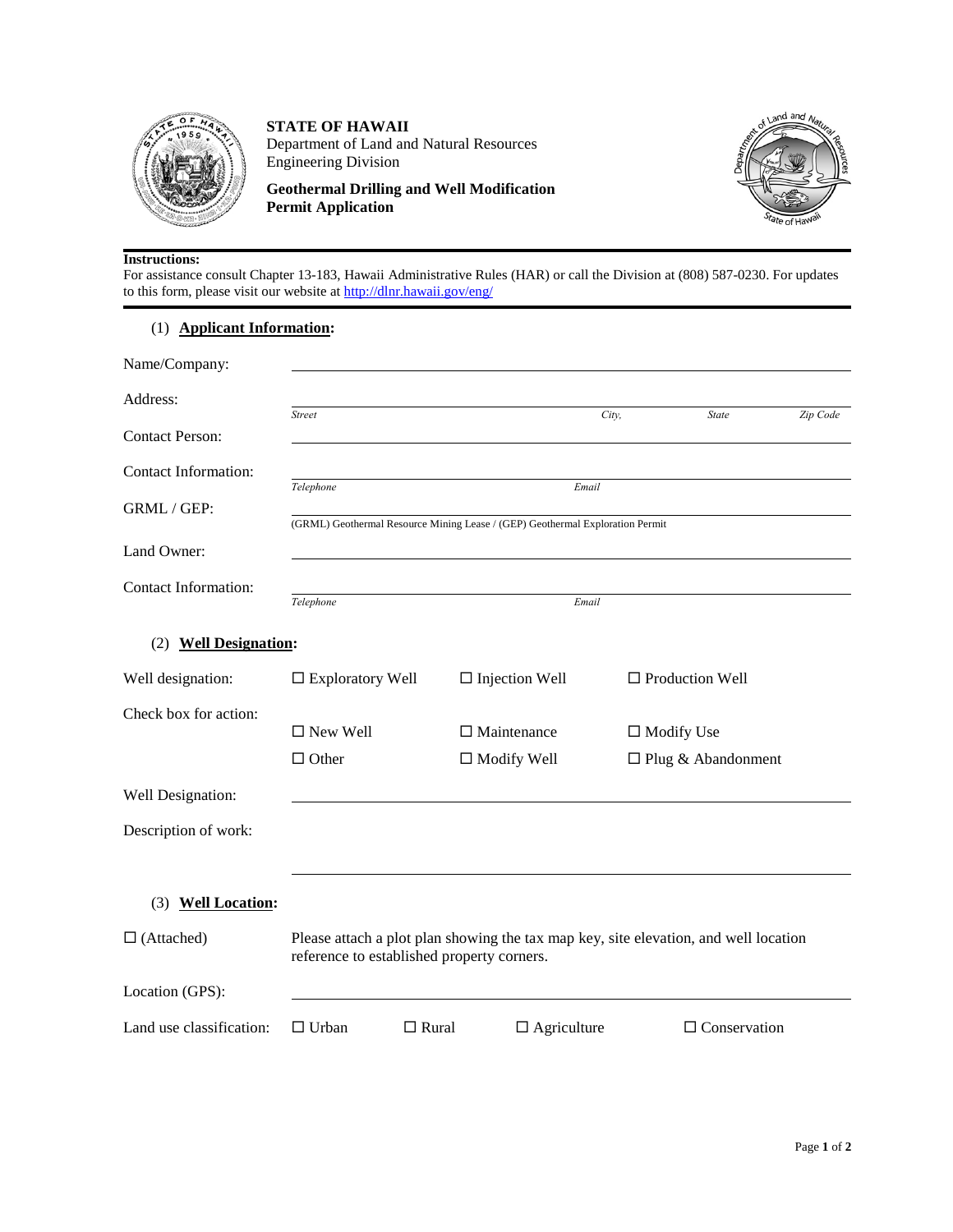

**STATE OF HAWAII** Department of Land and Natural Resources Engineering Division

**Geothermal Drilling and Well Modification Permit Application**



#### **Instructions:**

For assistance consult Chapter 13-183, Hawaii Administrative Rules (HAR) or call the Division at (808) 587-0230. For updates to this form, please visit our website at http://dlnr.hawaii.gov/eng/

# (1) **Applicant Information:**

| Name/Company:                   |                                                                                                                                    |                    |                       |                           |                     |          |
|---------------------------------|------------------------------------------------------------------------------------------------------------------------------------|--------------------|-----------------------|---------------------------|---------------------|----------|
| Address:                        |                                                                                                                                    |                    |                       |                           |                     |          |
| <b>Contact Person:</b>          | <b>Street</b>                                                                                                                      |                    | City,                 |                           | <b>State</b>        | Zip Code |
| Contact Information:            |                                                                                                                                    |                    |                       |                           |                     |          |
| GRML / GEP:                     | Telephone<br>Email<br>(GRML) Geothermal Resource Mining Lease / (GEP) Geothermal Exploration Permit                                |                    |                       |                           |                     |          |
| Land Owner:                     |                                                                                                                                    |                    |                       |                           |                     |          |
| <b>Contact Information:</b>     | Telephone<br>Email                                                                                                                 |                    |                       |                           |                     |          |
| <b>Well Designation:</b><br>(2) |                                                                                                                                    |                    |                       |                           |                     |          |
| Well designation:               | $\square$ Exploratory Well                                                                                                         |                    | $\Box$ Injection Well | $\Box$ Production Well    |                     |          |
| Check box for action:           |                                                                                                                                    |                    |                       |                           |                     |          |
|                                 | $\Box$ New Well                                                                                                                    | $\Box$ Maintenance |                       | $\Box$ Modify Use         |                     |          |
|                                 | $\Box$ Other                                                                                                                       | $\Box$ Modify Well |                       | $\Box$ Plug & Abandonment |                     |          |
| Well Designation:               |                                                                                                                                    |                    |                       |                           |                     |          |
| Description of work:            |                                                                                                                                    |                    |                       |                           |                     |          |
| <b>Well Location:</b><br>(3)    |                                                                                                                                    |                    |                       |                           |                     |          |
|                                 |                                                                                                                                    |                    |                       |                           |                     |          |
| $\Box$ (Attached)               | Please attach a plot plan showing the tax map key, site elevation, and well location<br>reference to established property corners. |                    |                       |                           |                     |          |
| Location (GPS):                 |                                                                                                                                    |                    |                       |                           |                     |          |
| Land use classification:        | $\Box$ Urban                                                                                                                       | $\Box$ Rural       | $\Box$ Agriculture    |                           | $\Box$ Conservation |          |